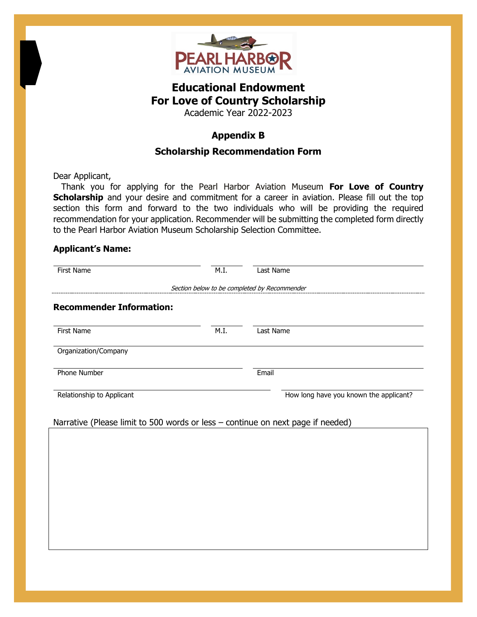

## **Educational Endowment For Love of Country Scholarship**

Academic Year 2022-2023

## **Appendix B**

## **Scholarship Recommendation Form**

Dear Applicant,

 Thank you for applying for the Pearl Harbor Aviation Museum **For Love of Country Scholarship** and your desire and commitment for a career in aviation. Please fill out the top section this form and forward to the two individuals who will be providing the required recommendation for your application. Recommender will be submitting the completed form directly to the Pearl Harbor Aviation Museum Scholarship Selection Committee.

## **Applicant's Name:**

| First Name                                                                      | M.I. | Last Name                              |
|---------------------------------------------------------------------------------|------|----------------------------------------|
| Section below to be completed by Recommender                                    |      |                                        |
| <b>Recommender Information:</b>                                                 |      |                                        |
| First Name                                                                      | M.I. | Last Name                              |
| Organization/Company                                                            |      |                                        |
| Phone Number                                                                    |      | Email                                  |
|                                                                                 |      |                                        |
| Relationship to Applicant                                                       |      |                                        |
| Narrative (Please limit to 500 words or less - continue on next page if needed) |      | How long have you known the applicant? |
|                                                                                 |      |                                        |
|                                                                                 |      |                                        |
|                                                                                 |      |                                        |
|                                                                                 |      |                                        |